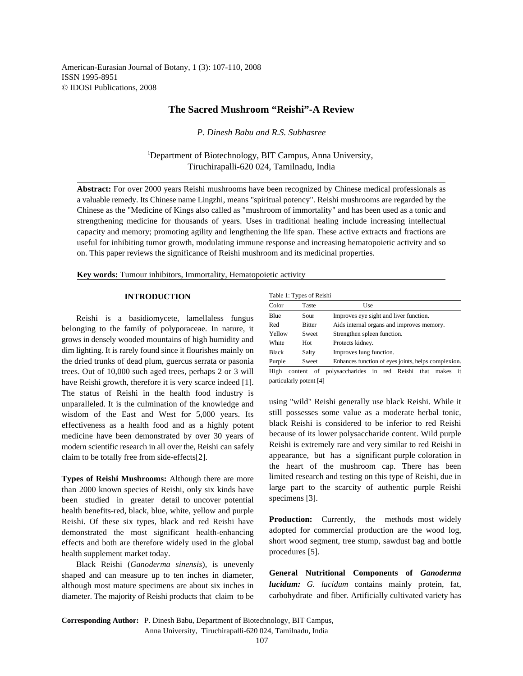American-Eurasian Journal of Botany, 1 (3): 107-110, 2008 ISSN 1995-8951 © IDOSI Publications, 2008

# **The Sacred Mushroom "Reishi"-A Review**

*P. Dinesh Babu and R.S. Subhasree*

<sup>1</sup>Department of Biotechnology, BIT Campus, Anna University, Tiruchirapalli-620 024, Tamilnadu, India

**Abstract:** For over 2000 years Reishi mushrooms have been recognized by Chinese medical professionals as a valuable remedy. Its Chinese name Lingzhi, means "spiritual potency". Reishi mushrooms are regarded by the Chinese as the "Medicine of Kings also called as "mushroom of immortality" and has been used as a tonic and strengthening medicine for thousands of years. Uses in traditional healing include increasing intellectual capacity and memory; promoting agility and lengthening the life span. These active extracts and fractions are useful for inhibiting tumor growth, modulating immune response and increasing hematopoietic activity and so on. This paper reviews the significance of Reishi mushroom and its medicinal properties.

**Key words:** Tumour inhibitors, Immortality, Hematopoietic activity

#### **INTRODUCTION**

Reishi is a basidiomycete, lamellaless fungus belonging to the family of polyporaceae. In nature, it grows in densely wooded mountains of high humidity and dim lighting. It is rarely found since it flourishes mainly on the dried trunks of dead plum, guercus serrata or pasonia trees. Out of 10,000 such aged trees, perhaps 2 or 3 will have Reishi growth, therefore it is very scarce indeed [1]. The status of Reishi in the health food industry is unparalleled. It is the culmination of the knowledge and wisdom of the East and West for 5,000 years. Its effectiveness as a health food and as a highly potent medicine have been demonstrated by over 30 years of modern scientific research in all over the, Reishi can safely claim to be totally free from side-effects[2].

**Types of Reishi Mushrooms:** Although there are more than 2000 known species of Reishi, only six kinds have been studied in greater detail to uncover potential health benefits-red, black, blue, white, yellow and purple Reishi. Of these six types, black and red Reishi have demonstrated the most significant health-enhancing effects and both are therefore widely used in the global health supplement market today.

Black Reishi (*Ganoderma sinensis*), is unevenly shaped and can measure up to ten inches in diameter, although most mature specimens are about six inches in diameter. The majority of Reishi products that claim to be

| Color        | Taste         | Use                                                 |
|--------------|---------------|-----------------------------------------------------|
| Blue         | Sour          | Improves eye sight and liver function.              |
| Red          | <b>Bitter</b> | Aids internal organs and improves memory.           |
| Yellow       | Sweet         | Strengthen spleen function.                         |
| White        | Hot           | Protects kidney.                                    |
| <b>Black</b> | Salty         | Improves lung function.                             |
| Purple       | Sweet         | Enhances function of eyes joints, helps complexion. |

High content of polysaccharides in red Reishi that makes it particularly potent [4]

using "wild" Reishi generally use black Reishi. While it still possesses some value as a moderate herbal tonic, black Reishi is considered to be inferior to red Reishi because of its lower polysaccharide content. Wild purple Reishi is extremely rare and very similar to red Reishi in appearance, but has a significant purple coloration in the heart of the mushroom cap. There has been limited research and testing on this type of Reishi, due in large part to the scarcity of authentic purple Reishi specimens [3].

**Production:** Currently, the methods most widely adopted for commercial production are the wood log, short wood segment, tree stump, sawdust bag and bottle procedures [5].

**General Nutritional Components of** *Ganoderma lucidum: G. lucidum* contains mainly protein, fat, carbohydrate and fiber. Artificially cultivated variety has

**Corresponding Author:** P. Dinesh Babu, Department of Biotechnology, BIT Campus, Anna University, Tiruchirapalli-620 024, Tamilnadu, India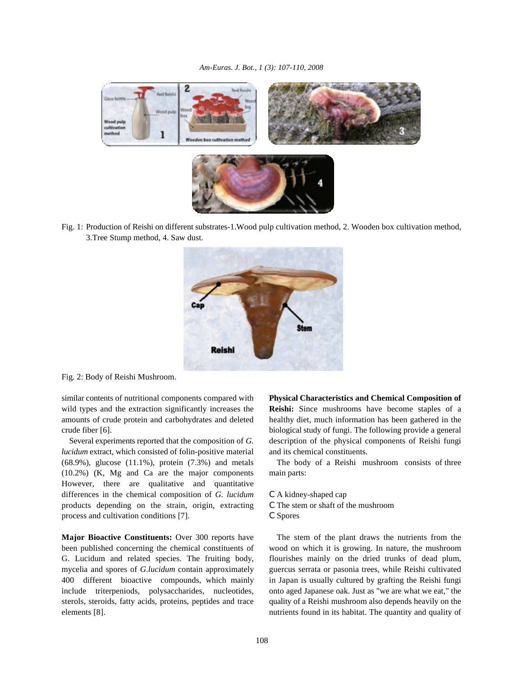

Fig. 1: Production of Reishi on different substrates-1.Wood pulp cultivation method, 2. Wooden box cultivation method, 3.Tree Stump method, 4. Saw dust.



Fig. 2: Body of Reishi Mushroom.

wild types and the extraction significantly increases the **Reishi:** Since mushrooms have become staples of a amounts of crude protein and carbohydrates and deleted healthy diet, much information has been gathered in the crude fiber [6]. biological study of fungi. The following provide a general

*lucidum* extract, which consisted of folin-positive material and its chemical constituents. (68.9%), glucose (11.1%), protein (7.3%) and metals The body of a Reishi mushroom consists of three (10.2%) (K, Mg and Ca are the major components main parts: However, there are qualitative and quantitative differences in the chemical composition of *G. lucidum* C A kidney-shaped cap products depending on the strain, origin, extracting C The stem or shaft of the mushroom process and cultivation conditions [7]. C Spores

**Major Bioactive Constituents:** Over 300 reports have The stem of the plant draws the nutrients from the been published concerning the chemical constituents of wood on which it is growing. In nature, the mushroom G. Lucidum and related species. The fruiting body, flourishes mainly on the dried trunks of dead plum, mycelia and spores of *G.lucidum* contain approximately guercus serrata or pasonia trees, while Reishi cultivated 400 different bioactive compounds, which mainly in Japan is usually cultured by grafting the Reishi fungi include triterpeniods, polysaccharides, nucleotides, onto aged Japanese oak. Just as "we are what we eat," the sterols, steroids, fatty acids, proteins, peptides and trace quality of a Reishi mushroom also depends heavily on the elements [8]. nutrients found in its habitat. The quantity and quality of

similar contents of nutritional components compared with **Physical Characteristics and Chemical Composition of** Several experiments reported that the composition of *G.* description of the physical components of Reishi fungi

- 
- 
-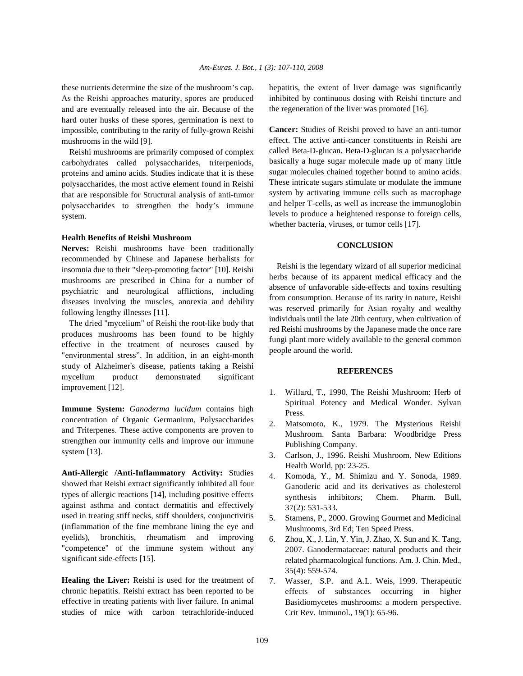As the Reishi approaches maturity, spores are produced and are eventually released into the air. Because of the hard outer husks of these spores, germination is next to impossible, contributing to the rarity of fully-grown Reishi mushrooms in the wild [9].

Reishi mushrooms are primarily composed of complex carbohydrates called polysaccharides, triterpeniods, proteins and amino acids. Studies indicate that it is these polysaccharides, the most active element found in Reishi that are responsible for Structural analysis of anti-tumor polysaccharides to strengthen the body's immune system.

#### **Health Benefits of Reishi Mushroom**

**Nerves:** Reishi mushrooms have been traditionally recommended by Chinese and Japanese herbalists for insomnia due to their "sleep-promoting factor" [10]. Reishi mushrooms are prescribed in China for a number of psychiatric and neurological afflictions, including diseases involving the muscles, anorexia and debility following lengthy illnesses [11].

The dried "mycelium" of Reishi the root-like body that produces mushrooms has been found to be highly effective in the treatment of neuroses caused by "environmental stress". In addition, in an eight-month study of Alzheimer's disease, patients taking a Reishi mycelium product demonstrated significant improvement [12].

**Immune System:** *Ganoderma lucidum* contains high concentration of Organic Germanium, Polysaccharides and Triterpenes. These active components are proven to strengthen our immunity cells and improve our immune system [13].

**Anti-Allergic /Anti-Inflammatory Activity:** Studies showed that Reishi extract significantly inhibited all four types of allergic reactions [14], including positive effects against asthma and contact dermatitis and effectively used in treating stiff necks, stiff shoulders, conjunctivitis (inflammation of the fine membrane lining the eye and eyelids), bronchitis, rheumatism and improving "competence" of the immune system without any significant side-effects [15].

**Healing the Liver:** Reishi is used for the treatment of chronic hepatitis. Reishi extract has been reported to be effective in treating patients with liver failure. In animal studies of mice with carbon tetrachloride-induced

these nutrients determine the size of the mushroom's cap. hepatitis, the extent of liver damage was significantly inhibited by continuous dosing with Reishi tincture and the regeneration of the liver was promoted [16].

> **Cancer:** Studies of Reishi proved to have an anti-tumor effect. The active anti-cancer constituents in Reishi are called Beta-D-glucan. Beta-D-glucan is a polysaccharide basically a huge sugar molecule made up of many little sugar molecules chained together bound to amino acids. These intricate sugars stimulate or modulate the immune system by activating immune cells such as macrophage and helper T-cells, as well as increase the immunoglobin levels to produce a heightened response to foreign cells, whether bacteria, viruses, or tumor cells [17].

## **CONCLUSION**

Reishi is the legendary wizard of all superior medicinal herbs because of its apparent medical efficacy and the absence of unfavorable side-effects and toxins resulting from consumption. Because of its rarity in nature, Reishi was reserved primarily for Asian royalty and wealthy individuals until the late 20th century, when cultivation of red Reishi mushrooms by the Japanese made the once rare fungi plant more widely available to the general common people around the world.

### **REFERENCES**

- 1. Willard, T., 1990. The Reishi Mushroom: Herb of Spiritual Potency and Medical Wonder. Sylvan Press.
- 2. Matsomoto, K., 1979. The Mysterious Reishi Mushroom. Santa Barbara: Woodbridge Press Publishing Company.
- 3. Carlson, J., 1996. Reishi Mushroom. New Editions Health World, pp: 23-25.
- 4. Komoda, Y., M. Shimizu and Y. Sonoda, 1989. Ganoderic acid and its derivatives as cholesterol synthesis inhibitors; Chem. Pharm. Bull, 37(2): 531-533.
- 5. Stamens, P., 2000. Growing Gourmet and Medicinal Mushrooms, 3rd Ed; Ten Speed Press.
- 6. Zhou, X., J. Lin, Y. Yin, J. Zhao, X. Sun and K. Tang, 2007. Ganodermataceae: natural products and their related pharmacological functions. Am. J. Chin. Med., 35(4): 559-574.
- 7. Wasser, S.P. and A.L. Weis, 1999. Therapeutic effects of substances occurring in higher Basidiomycetes mushrooms: a modern perspective. Crit Rev. Immunol., 19(1): 65-96.